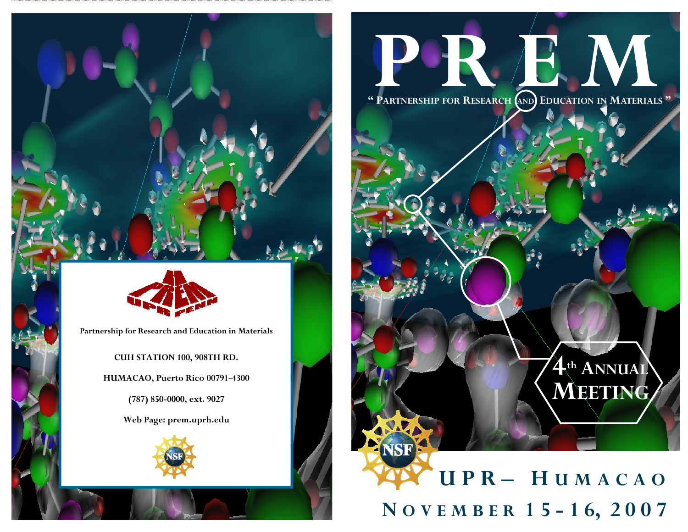

**Partnership for Research and Education in Materials** 

**CUH STATION 100, 908TH RD. HUMACAO, Puerto Rico 00791-4300 (787) 850-0000, ext. 9027** 

**Web Page: prem.uprh.edu** 



# **P R 20**

**" PARTNERSHIP FOR RESEARCH AND EDUCATION IN MATERIALS "** 

# **U P R – H U M A C A O N O V E M <sup>B</sup> <sup>E</sup> R 1 5 - 1 6, 2 0 0 7**

**4th ANNUAL**

**MEETING**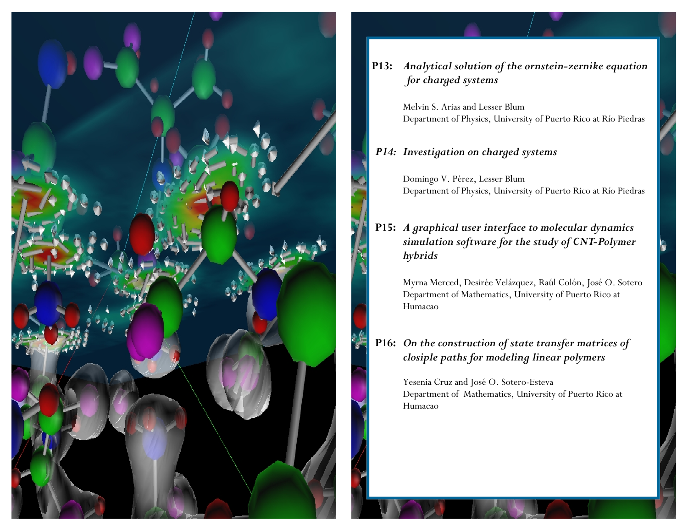

#### **P13:** *Analytical solution of the ornstein-zernike equation for charged systems*

Melvin S. Arias and Lesser Blum Department of Physics, University of Puerto Rico at Río Piedras

#### *P14: Investigation on charged systems*

 Domingo V. Pérez, Lesser Blum Department of Physics, University of Puerto Rico at Río Piedras

**P15:** *A graphical user interface to molecular dynamics simulation software for the study of CNT-Polymer hybrids* 

 Myrna Merced, Desirée Velázquez, Raúl Colón, José O. Sotero Department of Mathematics, University of Puerto Rico at Humacao

#### **P16:** *On the construction of state transfer matrices of closiple paths for modeling linear polymers*

 Yesenia Cruz and José O. Sotero-Esteva Department of Mathematics, University of Puerto Rico at Humacao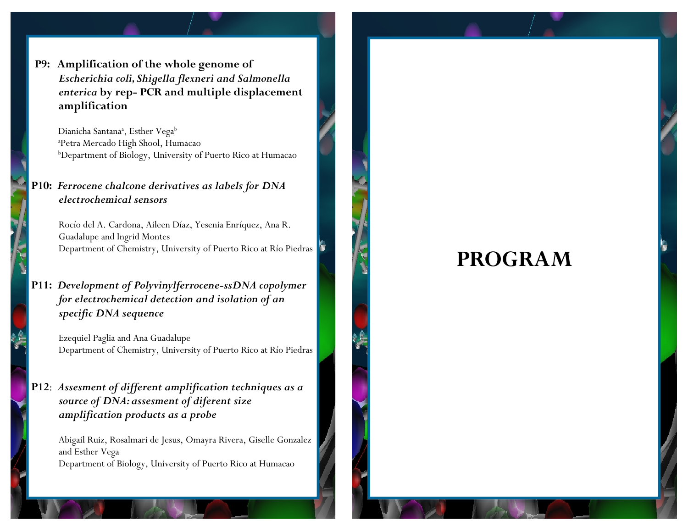**P9: Amplification of the whole genome of**   *Escherichia coli, Shigella flexneri and Salmonella enterica* **by rep- PCR and multiple displacement amplification** 

Dianicha Santana<sup>a</sup>, Esther Vega<sup>b</sup> aPetra Mercado High Shool, Humacao bDepartment of Biology, University of Puerto Rico at Humacao

#### **P10:** *Ferrocene chalcone derivatives as labels for DNA electrochemical sensors*

Rocío del A. Cardona, Aileen Díaz, Yesenia Enríquez, Ana R. Guadalupe and Ingrid Montes Department of Chemistry, University of Puerto Rico at Río Piedras

**P11:** *Development of Polyvinylferrocene-ssDNA copolymer for electrochemical detection and isolation of an specific DNA sequence*

Ezequiel Paglia and Ana Guadalupe Department of Chemistry, University of Puerto Rico at Río Piedras

#### **P12**: *Assesment of different amplification techniques as a source of DNA: assesment of diferent size amplification products as a probe*

 Abigail Ruiz, Rosalmari de Jesus, Omayra Rivera, Giselle Gonzalez and Esther Vega Department of Biology, University of Puerto Rico at Humacao

### **PROGRAM**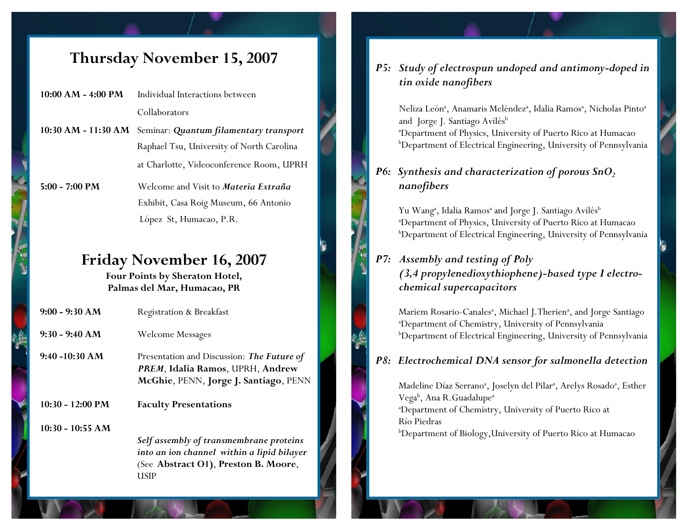#### **Thursday November 15, 2007**

- **10:00 AM 4:00 PM** Individual Interactions between Collaborators
- **10:30 AM 11:30 AM** Seminar: *Quantum filamentary transport* Raphael Tsu, University of North Carolina at Charlotte, Videoconference Room, UPRH
- **5:00 7:00 PM** Welcome and Visit to *Materia Extraña* Exhibit, Casa Roig Museum, 66 Antonio López St, Humacao, P.R.

#### **Friday November 16, 2007**

**Four Points by Sheraton Hotel, Palmas del Mar, Humacao, PR** 

| $9:00 - 9:30 AM$   | <b>Registration &amp; Breakfast</b>                                                                                                   |
|--------------------|---------------------------------------------------------------------------------------------------------------------------------------|
| $9:30 - 9:40 AM$   | <b>Welcome Messages</b>                                                                                                               |
| $9:40 - 10:30 AM$  | Presentation and Discussion: The Future of<br>PREM, Idalia Ramos, UPRH, Andrew<br>McGhie, PENN, Jorge J. Santiago, PENN               |
| 10:30 - 12:00 PM   | <b>Faculty Presentations</b>                                                                                                          |
| $10:30 - 10:55$ AM | Self assembly of transmembrane proteins<br>into an ion channel within a lipid bilayer<br>(See Abstract O1), Preston B. Moore,<br>USIP |

#### *P5: Study of electrospun undoped and antimony-doped in tin oxide nanofibers*

Neliza León<sup>a</sup>, Anamaris Meléndez<sup>a</sup>, Idalia Ramos<sup>a</sup>, Nicholas Pinto<sup>a</sup> and Jorge J. Santiago Avilés<sup>b</sup> aDepartment of Physics, University of Puerto Rico at Humacao bDepartment of Electrical Engineering, University of Pennsylvania

#### *P6:* Synthesis and characterization of porous SnO<sub>2</sub> *nanofibers*

Yu Wang<sup>a</sup>, Idalia Ramos<sup>a</sup> and Jorge J. Santiago Avilés<sup>b</sup> aDepartment of Physics, University of Puerto Rico at Humacao bDepartment of Electrical Engineering, University of Pennsylvania

#### *P7: Assembly and testing of Poly (3,4 propylenedioxythiophene)-based type I electro chemical supercapacitors*

Mariem Rosario-Canales<sup>a</sup>, Michael J.Therien<sup>a</sup>, and Jorge Santiago aDepartment of Chemistry, University of Pennsylvania bDepartment of Electrical Engineering, University of Pennsylvania

#### *P8: Electrochemical DNA sensor for salmonella detection*

Madeline Díaz Serrano<sup>a</sup>, Joselyn del Pilar<sup>a</sup>, Arelys Rosado<sup>a</sup>, Esther Vega<sup>b</sup>, Ana R.Guadalupe<sup>a</sup> aDepartment of Chemistry, University of Puerto Rico at Río Piedras bDepartment of Biology,University of Puerto Rico at Humacao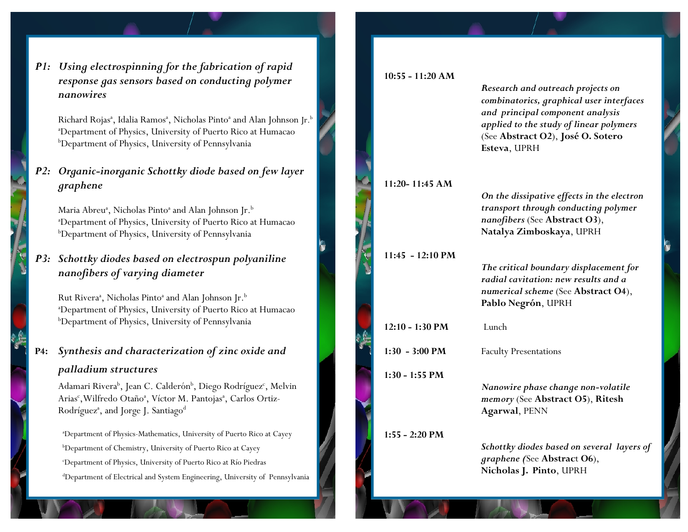*P1: Using electrospinning for the fabrication of rapid response gas sensors based on conducting polymer nanowires* 

Richard Rojas<sup>a</sup>, Idalia Ramos<sup>a</sup>, Nicholas Pinto<sup>a</sup> and Alan Johnson Jr.<sup>b</sup> aDepartment of Physics, University of Puerto Rico at Humacao bDepartment of Physics, University of Pennsylvania

#### *P2: Organic-inorganic Schottky diode based on few layer graphene*

Maria Abreu<sup>a</sup>, Nicholas Pinto<sup>a</sup> and Alan Johnson Jr.<sup>b</sup> aDepartment of Physics, University of Puerto Rico at Humacao bDepartment of Physics, University of Pennsylvania

*P3: Schottky diodes based on electrospun polyaniline nanofibers of varying diameter* 

Rut Rivera<sup>a</sup>, Nicholas Pinto<sup>a</sup> and Alan Johnson Jr.<sup>b</sup> aDepartment of Physics, University of Puerto Rico at Humacao bDepartment of Physics, University of Pennsylvania

#### **P4:** *Synthesis and characterization of zinc oxide and palladium structures*

Adamari Rivera<sup>b</sup>, Jean C. Calderón<sup>b</sup>, Diego Rodríguez<sup>c</sup>, Melvin Arias<sup>c</sup>, Wilfredo Otaño<sup>a</sup>, Víctor M. Pantojas<sup>a</sup>, Carlos Ortiz-Rodríguez<sup>a</sup>, and Jorge J. Santiago<sup>d</sup>

aDepartment of Physics-Mathematics, University of Puerto Rico at Cayey bDepartment of Chemistry, University of Puerto Rico at Cayey cDepartment of Physics, University of Puerto Rico at Río Piedras dDepartment of Electrical and System Engineering, University of Pennsylvania

#### **10:55 - 11:20 AM** *Research and outreach projects on combinatorics, graphical user interfaces and principal component analysis applied to the study of linear polymers* (See **Abstract O2**), **José O. Sotero Esteva**, UPRH **11:20- 11:45 AM**  *On the dissipative effects in the electron transport through conducting polymer nanofibers* (See **Abstract O3**),  **Natalya Zimboskaya**, UPRH **11:45 - 12:10 PM**  *The critical boundary displacement for radial cavitation: new results and a numerical scheme* (See **Abstract O4**),  **Pablo Negrón**, UPRH **12:10 - 1:30 PM** Lunch **1:30 - 3:00 PM** Faculty Presentations **1:30 - 1:55 PM**  *Nanowire phase change non-volatile mem ory* (See **Abstract O5**), **Ritesh Agarwal**, PENN **1:55 - 2:20 PM**  *Schottky diodes based on several layers of graphene (*See **Abstrac**t **O6**), **Nicholas J. Pinto**, UPRH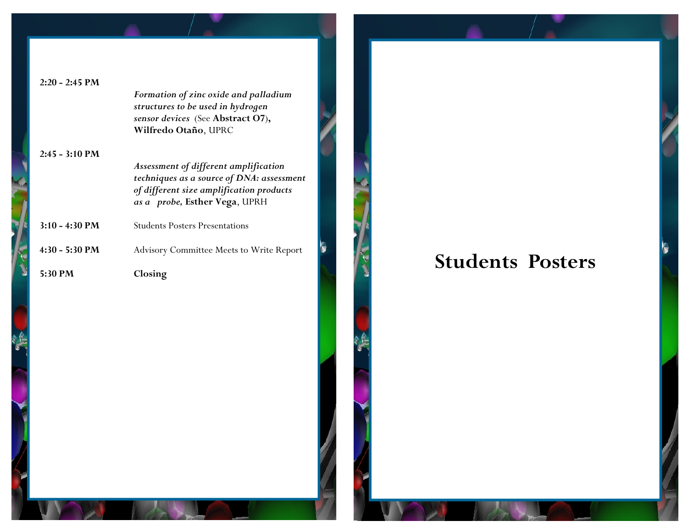| $2:20 - 2:45 PM$         |                                                 |
|--------------------------|-------------------------------------------------|
|                          | Formation of zinc oxide and palladium           |
|                          | structures to be used in hydrogen               |
|                          | sensor devices (See Abstract O7),               |
|                          | Wilfredo Otaño, UPRC                            |
| $2:45 - 3:10 \text{ PM}$ |                                                 |
|                          | Assessment of different amplification           |
|                          | techniques as a source of DNA: assessment       |
|                          | of different size amplification products        |
|                          | as a probe, Esther Vega, UPRH                   |
| $3:10 - 4:30$ PM         | <b>Students Posters Presentations</b>           |
|                          |                                                 |
| $4:30 - 5:30$ PM         | <b>Advisory Committee Meets to Write Report</b> |
|                          |                                                 |
| 5:30 PM                  | Closing                                         |
|                          |                                                 |
|                          |                                                 |
|                          |                                                 |
|                          |                                                 |
|                          |                                                 |

# **Students Posters**

ĸ,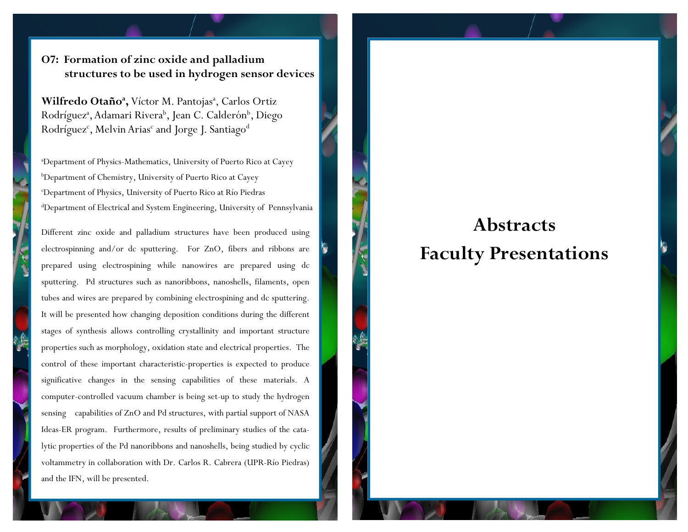#### **O7: Formation of zinc oxide and palladium structures to be used in hydrogen sensor devices**

Wilfredo Otaño<sup>a</sup>, Víctor M. Pantojas<sup>a</sup>, Carlos Ortiz Rodríguez<sup>a</sup>, Adamari Rivera<sup>b</sup>, Jean C. Calderón<sup>b</sup>, Diego Rodríguez<sup>c</sup>, Melvin Arias<sup>c</sup> and Jorge J. Santiago<sup>d</sup>

aDepartment of Physics-Mathematics, University of Puerto Rico at Cayey bDepartment of Chemistry, University of Puerto Rico at Cayey cDepartment of Physics, University of Puerto Rico at Río Piedras dDepartment of Electrical and System Engineering, University of Pennsylvania

Different zinc oxide and palladium structures have been produced using electrospinning and/or dc sputtering. For ZnO, fibers and ribbons are prepared using electrospining while nanowires are prepared using dc sputtering. Pd structures such as nanoribbons, nanoshells, filaments, open tubes and wires are prepared by combining electrospining and dc sputtering. It will be presented how changing deposition conditions during the different stages of synthesis allows controlling crystallinity and important structure properties such as morphology, oxidation state and electrical properties. The control of these important characteristic-properties is expected to produce significative changes in the sensing capabilities of these materials. A computer-controlled vacuum chamber is being set-up to study the hydrogen sensing capabilities of ZnO and Pd structures, with partial support of NASA Ideas-ER program. Furthermore, results of preliminary studies of the catalytic properties of the Pd nanoribbons and nanoshells, being studied by cyclic voltammetry in collaboration with Dr. Carlos R. Cabrera (UPR-Río Piedras) and the IFN, will be presented.

## **Abstracts Faculty Presentations**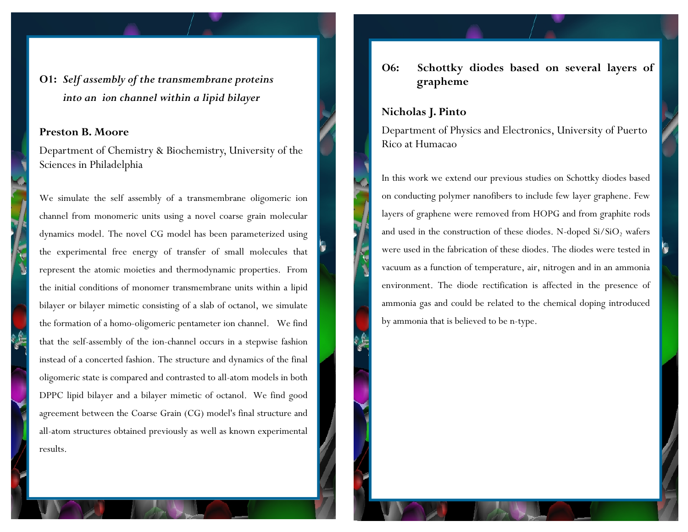**O1:** *Self assembly of the transmembrane proteins into an ion channel within a lipid bilayer* 

#### **Preston B. Moore**

Department of Chemistry & Biochemistry, University of the Sciences in Philadelphia

We simulate the self assembly of a transmembrane oligomeric ion channel from monomeric units using a novel coarse grain molecular dynamics model. The novel CG model has been parameterized using the experimental free energy of transfer of small molecules that represent the atomic moieties and thermodynamic properties. From the initial conditions of monomer transmembrane units within a lipid bilayer or bilayer mimetic consisting of a slab of octanol, we simulate the formation of a homo-oligomeric pentameter ion channel. We find that the self-assembly of the ion-channel occurs in a stepwise fashion instead of a concerted fashion. The structure and dynamics of the final oligomeric state is compared and contrasted to all-atom models in both DPPC lipid bilayer and a bilayer mimetic of octanol. We find good agreement between the Coarse Grain (CG) model's final structure and all-atom structures obtained previously as well as known experimental results.

#### **O6: Schottky diodes based on several layers of grapheme**

#### **Nicholas J. Pinto**

Department of Physics and Electronics, University of Puerto Rico at Humacao

In this work we extend our previous studies on Schottky diodes based on conducting polymer nanofibers to include few layer graphene. Few layers of graphene were removed from HOPG and from graphite rods and used in the construction of these diodes. N-doped  $Si/SiO<sub>2</sub>$  wafers were used in the fabrication of these diodes. The diodes were tested in vacuum as a function of temperature, air, nitrogen and in an ammonia environment. The diode rectification is affected in the presence of ammonia gas and could be related to the chemical doping introduced by ammonia that is believed to be n-type.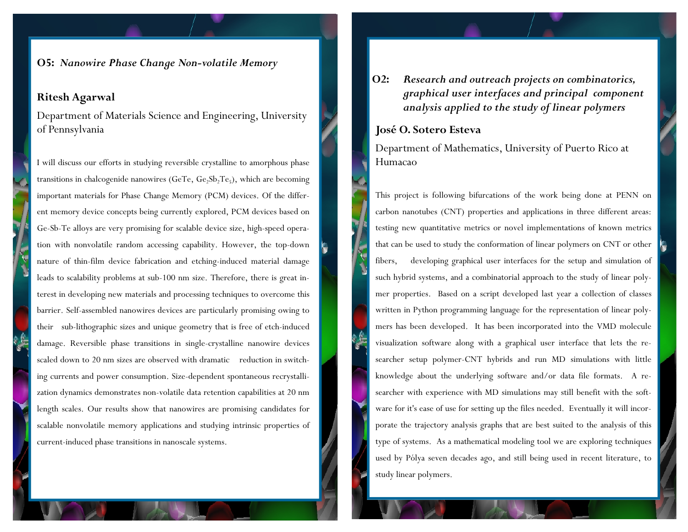**O5:** *Nanowire Phase Change Non-volatile Memory*

#### **Ritesh Agarwal**

Department of Materials Science and Engineering, University of Pennsylvania

I will discuss our efforts in studying reversible crystalline to amorphous phase transitions in chalcogenide nanowires (GeTe,  $Ge_2Sb_2Te_5$ ), which are becoming important materials for Phase Change Memory (PCM) devices. Of the different memory device concepts being currently explored, PCM devices based on Ge-Sb-Te alloys are very promising for scalable device size, high-speed operation with nonvolatile random accessing capability. However, the top-down nature of thin-film device fabrication and etching-induced material damage leads to scalability problems at sub-100 nm size. Therefore, there is great interest in developing new materials and processing techniques to overcome this barrier. Self-assembled nanowires devices are particularly promising owing to their sub-lithographic sizes and unique geometry that is free of etch-induced damage. Reversible phase transitions in single-crystalline nanowire devices scaled down to 20 nm sizes are observed with dramatic reduction in switching currents and power consumption. Size-dependent spontaneous recrystallization dynamics demonstrates non-volatile data retention capabilities at 20 nm length scales. Our results show that nanowires are promising candidates for scalable nonvolatile memory applications and studying intrinsic properties of current-induced phase transitions in nanoscale systems.

**O2:** *Research and outreach projects on combinatorics, graphical user interfaces and principal component analysis applied to the study of linear polymers*

#### **José O. Sotero Esteva**

Department of Mathematics, University of Puerto Rico at Humacao

This project is following bifurcations of the work being done at PENN on carbon nanotubes (CNT) properties and applications in three different areas: testing new quantitative metrics or novel implementations of known metrics that can be used to study the conformation of linear polymers on CNT or other fibers, developing graphical user interfaces for the setup and simulation of such hybrid systems, and a combinatorial approach to the study of linear polymer properties. Based on a script developed last year a collection of classes written in Python programming language for the representation of linear polymers has been developed. It has been incorporated into the VMD molecule visualization software along with a graphical user interface that lets the researcher setup polymer-CNT hybrids and run MD simulations with little knowledge about the underlying software and/or data file formats. A researcher with experience with MD simulations may still benefit with the software for it's ease of use for setting up the files needed. Eventually it will incorporate the trajectory analysis graphs that are best suited to the analysis of this type of systems. As a mathematical modeling tool we are exploring techniques used by Pólya seven decades ago, and still being used in recent literature, to study linear polymers.